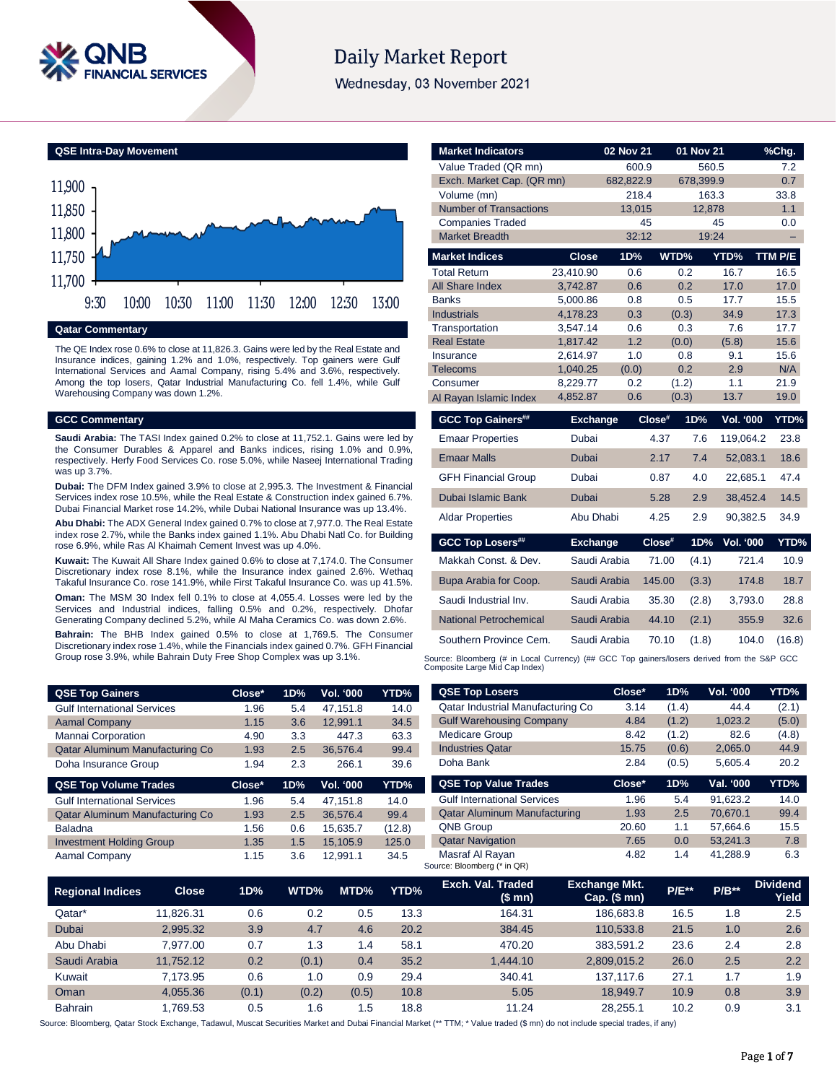

# **Daily Market Report**

Wednesday, 03 November 2021

**QSE Intra-Day Movement**



The QE Index rose 0.6% to close at 11,826.3. Gains were led by the Real Estate and Insurance indices, gaining 1.2% and 1.0%, respectively. Top gainers were Gulf International Services and Aamal Company, rising 5.4% and 3.6%, respectively. Among the top losers, Qatar Industrial Manufacturing Co. fell 1.4%, while Gulf Warehousing Company was down 1.2%.

#### **GCC Commentary**

**Saudi Arabia:** The TASI Index gained 0.2% to close at 11,752.1. Gains were led by the Consumer Durables & Apparel and Banks indices, rising 1.0% and 0.9%, respectively. Herfy Food Services Co. rose 5.0%, while Naseej International Trading was up 3.7%.

**Dubai:** The DFM Index gained 3.9% to close at 2,995.3. The Investment & Financial Services index rose 10.5%, while the Real Estate & Construction index gained 6.7%. Dubai Financial Market rose 14.2%, while Dubai National Insurance was up 13.4%.

**Abu Dhabi:** The ADX General Index gained 0.7% to close at 7,977.0. The Real Estate index rose 2.7%, while the Banks index gained 1.1%. Abu Dhabi Natl Co. for Building rose 6.9%, while Ras Al Khaimah Cement Invest was up 4.0%.

**Kuwait:** The Kuwait All Share Index gained 0.6% to close at 7,174.0. The Consumer Discretionary index rose 8.1%, while the Insurance index gained 2.6%. Wethaq Takaful Insurance Co. rose 141.9%, while First Takaful Insurance Co. was up 41.5%.

**Oman:** The MSM 30 Index fell 0.1% to close at 4,055.4. Losses were led by the Services and Industrial indices, falling 0.5% and 0.2%, respectively. Dhofar Generating Company declined 5.2%, while Al Maha Ceramics Co. was down 2.6%.

**Bahrain:** The BHB Index gained 0.5% to close at 1,769.5. The Consumer Discretionary index rose 1.4%, while the Financials index gained 0.7%. GFH Financial Group rose 3.9%, while Bahrain Duty Free Shop Complex was up 3.1%.

| <b>QSE Top Gainers</b>             | Close* | 1D% | <b>Vol. '000</b> | YTD% |
|------------------------------------|--------|-----|------------------|------|
| <b>Gulf International Services</b> | 1.96   | 5.4 | 47.151.8         | 14.0 |
| <b>Aamal Company</b>               | 1.15   | 3.6 | 12.991.1         | 34.5 |
| Mannai Corporation                 | 4.90   | 3.3 | 447.3            | 63.3 |
| Qatar Aluminum Manufacturing Co    | 1.93   | 2.5 | 36.576.4         | 99.4 |
| Doha Insurance Group               | 1.94   | 2.3 | 266.1            | 39.6 |

| Close* | 1D% | <b>Vol. '000</b> | YTD%   |
|--------|-----|------------------|--------|
| 1.96   | 5.4 | 47.151.8         | 14.0   |
| 1.93   | 2.5 | 36.576.4         | 99.4   |
| 1.56   | 0.6 | 15.635.7         | (12.8) |
| 1.35   | 1.5 | 15.105.9         | 125.0  |
| 1.15   | 3.6 | 12.991.1         | 34.5   |
|        |     |                  |        |

| <b>Market Indicators</b>      |                 | 02 Nov 21 |        | 01 Nov 21 |                  | %Chg.   |
|-------------------------------|-----------------|-----------|--------|-----------|------------------|---------|
| Value Traded (QR mn)          |                 | 600.9     |        | 560.5     |                  | 7.2     |
| Exch. Market Cap. (QR mn)     |                 | 682,822.9 |        | 678,399.9 |                  | 0.7     |
| Volume (mn)                   |                 | 218.4     |        | 163.3     |                  | 33.8    |
| <b>Number of Transactions</b> |                 | 13,015    |        | 12,878    |                  | 1.1     |
| <b>Companies Traded</b>       |                 |           | 45     |           | 45               | 0.0     |
| <b>Market Breadth</b>         |                 | 32:12     |        | 19:24     |                  |         |
| <b>Market Indices</b>         | <b>Close</b>    | 1D%       | WTD%   |           | YTD%             | TTM P/E |
| <b>Total Return</b>           | 23,410.90       | 0.6       |        | 0.2       | 16.7             | 16.5    |
| All Share Index               | 3,742.87        | 0.6       |        | 0.2       | 17.0             | 17.0    |
| <b>Banks</b>                  | 5,000.86        | 0.8       |        | 0.5       | 17.7             | 15.5    |
| <b>Industrials</b>            | 4,178.23        | 0.3       |        | (0.3)     | 34.9             | 17.3    |
| Transportation                | 3,547.14        | 0.6       |        | 0.3       | 7.6              | 17.7    |
| <b>Real Estate</b>            | 1,817.42        | 1.2       |        | (0.0)     | (5.8)            | 15.6    |
| Insurance                     | 2.614.97        | 1.0       |        | 0.8       | 9.1              | 15.6    |
| <b>Telecoms</b>               | 1,040.25        | (0.0)     |        | 0.2       | 2.9              | N/A     |
| Consumer                      | 8,229.77        | 0.2       |        | (1.2)     | 1.1              | 21.9    |
| Al Rayan Islamic Index        | 4,852.87        | 0.6       |        | (0.3)     | 13.7             | 19.0    |
| <b>GCC Top Gainers##</b>      | <b>Exchange</b> |           | Close# | 1D%       | Vol. '000        | YTD%    |
| <b>Emaar Properties</b>       | Dubai           |           | 4.37   | 7.6       | 119,064.2        | 23.8    |
| <b>Emaar Malls</b>            | <b>Dubai</b>    |           | 2.17   | 7.4       | 52,083.1         | 18.6    |
| <b>GFH Financial Group</b>    | Dubai           |           | 0.87   | 4.0       | 22,685.1         | 47.4    |
| Dubai Islamic Bank            | <b>Dubai</b>    |           | 5.28   | 2.9       | 38,452.4         | 14.5    |
| <b>Aldar Properties</b>       | Abu Dhabi       |           | 4.25   | 2.9       | 90,382.5         | 34.9    |
| <b>GCC Top Losers##</b>       | <b>Exchange</b> |           | Close# | 1D%       | <b>Vol. '000</b> | YTD%    |
| Makkah Const. & Dev.          | Saudi Arabia    |           | 71.00  | (4.1)     | 721.4            | 10.9    |
| Bupa Arabia for Coop.         | Saudi Arabia    |           | 145.00 | (3.3)     | 174.8            | 18.7    |
| Saudi Industrial Inv.         | Saudi Arabia    |           | 35.30  | (2.8)     | 3,793.0          | 28.8    |
| <b>National Petrochemical</b> | Saudi Arabia    |           | 44.10  | (2.1)     | 355.9            | 32.6    |

Source: Bloomberg (# in Local Currency) (## GCC Top gainers/losers derived from the S&P GCC<br>Composite Large Mid Cap Index)

Southern Province Cem. Saudi Arabia 70.10 (1.8) 104.0 (16.8)

| <b>QSE Top Losers</b>               | Close*   | 1D%   | <b>Vol. '000</b> | YTD%  |
|-------------------------------------|----------|-------|------------------|-------|
| Qatar Industrial Manufacturing Co   | 3.14     | (1.4) | 44.4             | (2.1) |
| <b>Gulf Warehousing Company</b>     | 4.84     | (1.2) | 1,023.2          | (5.0) |
| <b>Medicare Group</b>               | 8.42     | (1.2) | 82.6             | (4.8) |
| <b>Industries Qatar</b>             | 15.75    | (0.6) | 2,065.0          | 44.9  |
| Doha Bank                           | 2.84     | (0.5) | 5.605.4          | 20.2  |
|                                     |          |       |                  |       |
| <b>QSE Top Value Trades</b>         | $Close*$ | 1D%   | Val. '000        | YTD%  |
| <b>Gulf International Services</b>  | 1.96     | 5.4   | 91.623.2         | 14.0  |
| <b>Qatar Aluminum Manufacturing</b> | 1.93     | 2.5   | 70.670.1         | 99.4  |
| <b>QNB Group</b>                    | 20.60    | 1.1   | 57.664.6         | 15.5  |
| <b>Qatar Navigation</b>             | 7.65     | 0.0   | 53.241.3         | 7.8   |

| <b>Regional Indices</b> | <b>Close</b> | 1D%   | WTD%  | MTD%    | YTD% | Exch. Val. Traded<br>(\$mn) | <b>Exchange Mkt.</b><br>$Cap.$ (\$ mn) | $P/E***$ | $P/B**$ | <b>Dividend</b><br>Yield |
|-------------------------|--------------|-------|-------|---------|------|-----------------------------|----------------------------------------|----------|---------|--------------------------|
| Qatar*                  | 11.826.31    | 0.6   | 0.2   | $0.5\,$ | 13.3 | 164.31                      | 186.683.8                              | 16.5     | 1.8     | 2.5                      |
| Dubai                   | 2,995.32     | 3.9   | 4.7   | 4.6     | 20.2 | 384.45                      | 110.533.8                              | 21.5     | 1.0     | 2.6                      |
| Abu Dhabi               | 7.977.00     | 0.7   | 1.3   | 1.4     | 58.1 | 470.20                      | 383.591.2                              | 23.6     | 2.4     | 2.8                      |
| Saudi Arabia            | 11.752.12    | 0.2   | (0.1) | 0.4     | 35.2 | 1.444.10                    | 2.809.015.2                            | 26.0     | 2.5     | 2.2                      |
| Kuwait                  | 7.173.95     | 0.6   | 1.0   | 0.9     | 29.4 | 340.41                      | 137.117.6                              | 27.1     | 1.7     | 1.9                      |
| Oman                    | 4.055.36     | (0.1) | (0.2) | (0.5)   | 10.8 | 5.05                        | 18.949.7                               | 10.9     | 0.8     | 3.9                      |
| <b>Bahrain</b>          | 1.769.53     | 0.5   | 1.6   | . 5     | 18.8 | 11.24                       | 28.255.1                               | 10.2     | 0.9     | 3.1                      |

Source: Bloomberg, Qatar Stock Exchange, Tadawul, Muscat Securities Market and Dubai Financial Market (\*\* TTM; \* Value traded (\$ mn) do not include special trades, if any)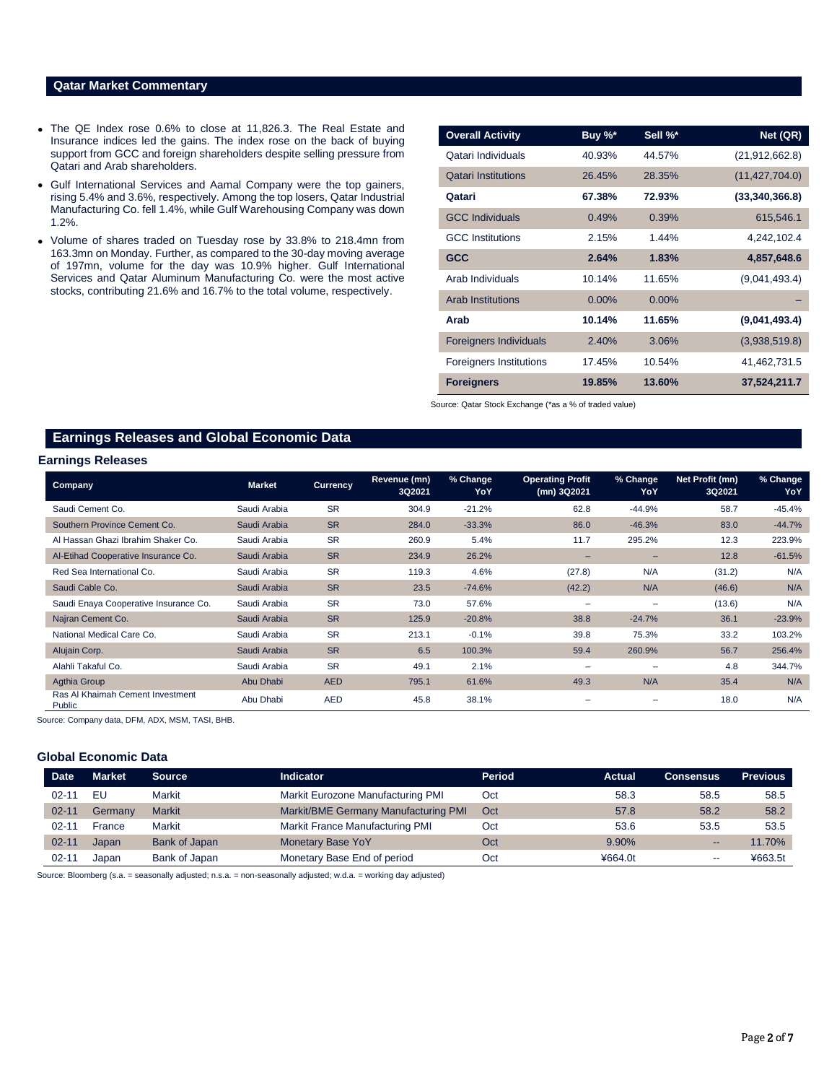# **Qatar Market Commentary**

- The QE Index rose 0.6% to close at 11,826.3. The Real Estate and Insurance indices led the gains. The index rose on the back of buying support from GCC and foreign shareholders despite selling pressure from Qatari and Arab shareholders.
- Gulf International Services and Aamal Company were the top gainers, rising 5.4% and 3.6%, respectively. Among the top losers, Qatar Industrial Manufacturing Co. fell 1.4%, while Gulf Warehousing Company was down 1.2%.
- Volume of shares traded on Tuesday rose by 33.8% to 218.4mn from 163.3mn on Monday. Further, as compared to the 30-day moving average of 197mn, volume for the day was 10.9% higher. Gulf International Services and Qatar Aluminum Manufacturing Co. were the most active stocks, contributing 21.6% and 16.7% to the total volume, respectively.

| <b>Overall Activity</b>        | Buy %*   | Sell %*  | Net (QR)         |
|--------------------------------|----------|----------|------------------|
| Qatari Individuals             | 40.93%   | 44.57%   | (21, 912, 662.8) |
| <b>Qatari Institutions</b>     | 26.45%   | 28.35%   | (11, 427, 704.0) |
| Qatari                         | 67.38%   | 72.93%   | (33,340,366.8)   |
| <b>GCC Individuals</b>         | 0.49%    | 0.39%    | 615,546.1        |
| <b>GCC</b> Institutions        | 2.15%    | 1.44%    | 4,242,102.4      |
| <b>GCC</b>                     | 2.64%    | 1.83%    | 4,857,648.6      |
| Arab Individuals               | 10.14%   | 11.65%   | (9,041,493.4)    |
| <b>Arab Institutions</b>       | $0.00\%$ | $0.00\%$ |                  |
| Arab                           | 10.14%   | 11.65%   | (9,041,493.4)    |
| <b>Foreigners Individuals</b>  | 2.40%    | 3.06%    | (3,938,519.8)    |
| <b>Foreigners Institutions</b> | 17.45%   | 10.54%   | 41,462,731.5     |
| <b>Foreigners</b>              | 19.85%   | 13.60%   | 37,524,211.7     |

Source: Qatar Stock Exchange (\*as a % of traded value)

# **Earnings Releases and Global Economic Data**

### **Earnings Releases**

| <b>Company</b>                             | <b>Market</b> | <b>Currency</b> | Revenue (mn)<br>3Q2021 | % Change<br>YoY | <b>Operating Profit</b><br>(mn) 3Q2021 | % Change<br>YoY          | Net Profit (mn)<br>3Q2021 | % Change<br>YoY |
|--------------------------------------------|---------------|-----------------|------------------------|-----------------|----------------------------------------|--------------------------|---------------------------|-----------------|
| Saudi Cement Co.                           | Saudi Arabia  | <b>SR</b>       | 304.9                  | $-21.2%$        | 62.8                                   | $-44.9%$                 | 58.7                      | $-45.4%$        |
| Southern Province Cement Co.               | Saudi Arabia  | <b>SR</b>       | 284.0                  | $-33.3%$        | 86.0                                   | $-46.3%$                 | 83.0                      | $-44.7%$        |
| Al Hassan Ghazi Ibrahim Shaker Co.         | Saudi Arabia  | <b>SR</b>       | 260.9                  | 5.4%            | 11.7                                   | 295.2%                   | 12.3                      | 223.9%          |
| Al-Etihad Cooperative Insurance Co.        | Saudi Arabia  | <b>SR</b>       | 234.9                  | 26.2%           | $\qquad \qquad -$                      | $-$                      | 12.8                      | $-61.5%$        |
| Red Sea International Co.                  | Saudi Arabia  | <b>SR</b>       | 119.3                  | 4.6%            | (27.8)                                 | N/A                      | (31.2)                    | N/A             |
| Saudi Cable Co.                            | Saudi Arabia  | <b>SR</b>       | 23.5                   | $-74.6%$        | (42.2)                                 | N/A                      | (46.6)                    | N/A             |
| Saudi Enaya Cooperative Insurance Co.      | Saudi Arabia  | <b>SR</b>       | 73.0                   | 57.6%           | $\overline{\phantom{0}}$               | $\overline{\phantom{0}}$ | (13.6)                    | N/A             |
| Najran Cement Co.                          | Saudi Arabia  | <b>SR</b>       | 125.9                  | $-20.8%$        | 38.8                                   | $-24.7%$                 | 36.1                      | $-23.9%$        |
| National Medical Care Co.                  | Saudi Arabia  | <b>SR</b>       | 213.1                  | $-0.1%$         | 39.8                                   | 75.3%                    | 33.2                      | 103.2%          |
| Alujain Corp.                              | Saudi Arabia  | <b>SR</b>       | 6.5                    | 100.3%          | 59.4                                   | 260.9%                   | 56.7                      | 256.4%          |
| Alahli Takaful Co.                         | Saudi Arabia  | <b>SR</b>       | 49.1                   | 2.1%            |                                        |                          | 4.8                       | 344.7%          |
| Agthia Group                               | Abu Dhabi     | <b>AED</b>      | 795.1                  | 61.6%           | 49.3                                   | N/A                      | 35.4                      | N/A             |
| Ras AI Khaimah Cement Investment<br>Public | Abu Dhabi     | <b>AED</b>      | 45.8                   | 38.1%           |                                        |                          | 18.0                      | N/A             |

Source: Company data, DFM, ADX, MSM, TASI, BHB.

### **Global Economic Data**

| <b>Date</b> | <b>Market</b> | <b>Source</b> | <b>Indicator</b>                     | Period | Actual  | <b>Consensus</b> | <b>Previous</b> |
|-------------|---------------|---------------|--------------------------------------|--------|---------|------------------|-----------------|
| $02 - 11$   | EU            | Markit        | Markit Eurozone Manufacturing PMI    | Oct    | 58.3    | 58.5             | 58.5            |
| $02 - 11$   | Germany       | <b>Markit</b> | Markit/BME Germany Manufacturing PMI | Oct    | 57.8    | 58.2             | 58.2            |
| $02 - 11$   | France        | Markit        | Markit France Manufacturing PMI      | Oct    | 53.6    | 53.5             | 53.5            |
| $02 - 11$   | Japan         | Bank of Japan | <b>Monetary Base YoY</b>             | Oct    | 9.90%   | --               | 11.70%          |
| $02 - 11$   | Japan         | Bank of Japan | Monetary Base End of period          | Oct    | ¥664.0t | --               | ¥663.5t         |

Source: Bloomberg (s.a. = seasonally adjusted; n.s.a. = non-seasonally adjusted; w.d.a. = working day adjusted)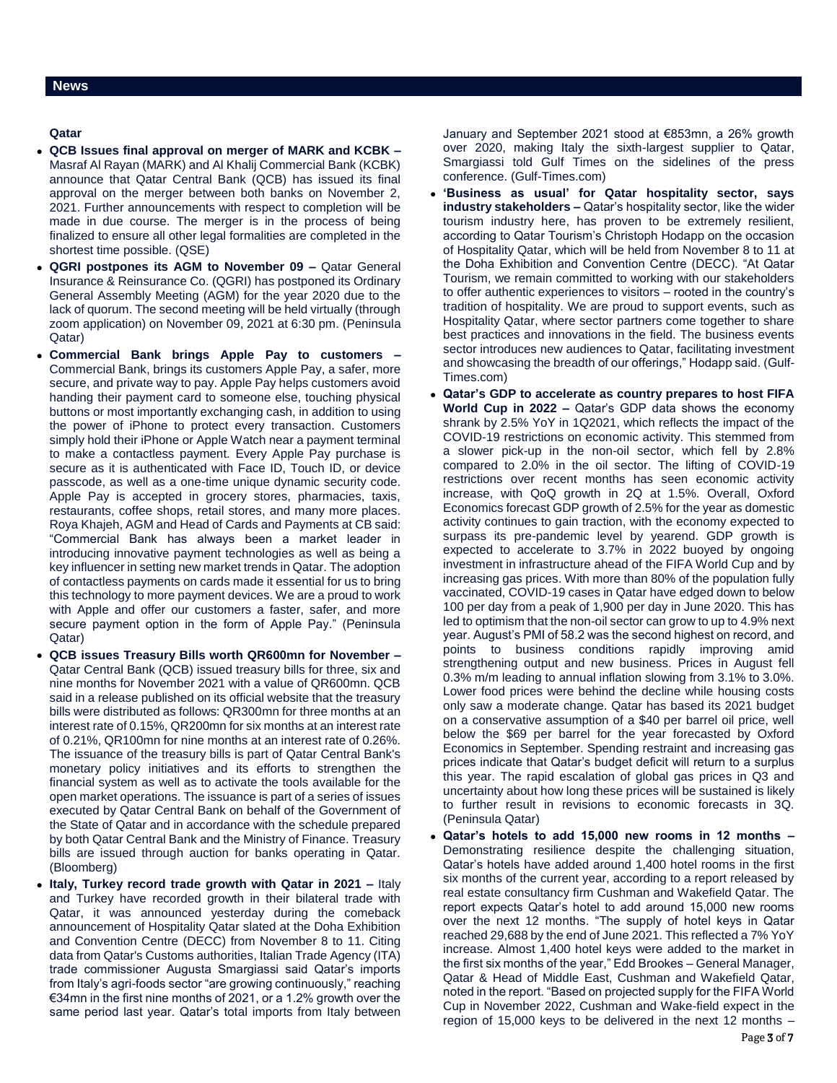# **Qatar**

- **QCB Issues final approval on merger of MARK and KCBK –** Masraf Al Rayan (MARK) and Al Khalij Commercial Bank (KCBK) announce that Qatar Central Bank (QCB) has issued its final approval on the merger between both banks on November 2, 2021. Further announcements with respect to completion will be made in due course. The merger is in the process of being finalized to ensure all other legal formalities are completed in the shortest time possible. (QSE)
- **QGRI postpones its AGM to November 09 –** Qatar General Insurance & Reinsurance Co. (QGRI) has postponed its Ordinary General Assembly Meeting (AGM) for the year 2020 due to the lack of quorum. The second meeting will be held virtually (through zoom application) on November 09, 2021 at 6:30 pm. (Peninsula Qatar)
- **Commercial Bank brings Apple Pay to customers –** Commercial Bank, brings its customers Apple Pay, a safer, more secure, and private way to pay. Apple Pay helps customers avoid handing their payment card to someone else, touching physical buttons or most importantly exchanging cash, in addition to using the power of iPhone to protect every transaction. Customers simply hold their iPhone or Apple Watch near a payment terminal to make a contactless payment. Every Apple Pay purchase is secure as it is authenticated with Face ID, Touch ID, or device passcode, as well as a one-time unique dynamic security code. Apple Pay is accepted in grocery stores, pharmacies, taxis, restaurants, coffee shops, retail stores, and many more places. Roya Khajeh, AGM and Head of Cards and Payments at CB said: "Commercial Bank has always been a market leader in introducing innovative payment technologies as well as being a key influencer in setting new market trends in Qatar. The adoption of contactless payments on cards made it essential for us to bring this technology to more payment devices. We are a proud to work with Apple and offer our customers a faster, safer, and more secure payment option in the form of Apple Pay." (Peninsula Qatar)
- **QCB issues Treasury Bills worth QR600mn for November –** Qatar Central Bank (QCB) issued treasury bills for three, six and nine months for November 2021 with a value of QR600mn. QCB said in a release published on its official website that the treasury bills were distributed as follows: QR300mn for three months at an interest rate of 0.15%, QR200mn for six months at an interest rate of 0.21%, QR100mn for nine months at an interest rate of 0.26%. The issuance of the treasury bills is part of Qatar Central Bank's monetary policy initiatives and its efforts to strengthen the financial system as well as to activate the tools available for the open market operations. The issuance is part of a series of issues executed by Qatar Central Bank on behalf of the Government of the State of Qatar and in accordance with the schedule prepared by both Qatar Central Bank and the Ministry of Finance. Treasury bills are issued through auction for banks operating in Qatar. (Bloomberg)
- **Italy, Turkey record trade growth with Qatar in 2021 –** Italy and Turkey have recorded growth in their bilateral trade with Qatar, it was announced yesterday during the comeback announcement of Hospitality Qatar slated at the Doha Exhibition and Convention Centre (DECC) from November 8 to 11. Citing data from Qatar's Customs authorities, Italian Trade Agency (ITA) trade commissioner Augusta Smargiassi said Qatar's imports from Italy's agri-foods sector "are growing continuously," reaching €34mn in the first nine months of 2021, or a 1.2% growth over the same period last year. Qatar's total imports from Italy between

January and September 2021 stood at €853mn, a 26% growth over 2020, making Italy the sixth-largest supplier to Qatar, Smargiassi told Gulf Times on the sidelines of the press conference. (Gulf-Times.com)

- **'Business as usual' for Qatar hospitality sector, says industry stakeholders –** Qatar's hospitality sector, like the wider tourism industry here, has proven to be extremely resilient, according to Qatar Tourism's Christoph Hodapp on the occasion of Hospitality Qatar, which will be held from November 8 to 11 at the Doha Exhibition and Convention Centre (DECC). "At Qatar Tourism, we remain committed to working with our stakeholders to offer authentic experiences to visitors – rooted in the country's tradition of hospitality. We are proud to support events, such as Hospitality Qatar, where sector partners come together to share best practices and innovations in the field. The business events sector introduces new audiences to Qatar, facilitating investment and showcasing the breadth of our offerings," Hodapp said. (Gulf-Times.com)
- **Qatar's GDP to accelerate as country prepares to host FIFA World Cup in 2022 –** Qatar's GDP data shows the economy shrank by 2.5% YoY in 1Q2021, which reflects the impact of the COVID-19 restrictions on economic activity. This stemmed from a slower pick-up in the non-oil sector, which fell by 2.8% compared to 2.0% in the oil sector. The lifting of COVID-19 restrictions over recent months has seen economic activity increase, with QoQ growth in 2Q at 1.5%. Overall, Oxford Economics forecast GDP growth of 2.5% for the year as domestic activity continues to gain traction, with the economy expected to surpass its pre-pandemic level by yearend. GDP growth is expected to accelerate to 3.7% in 2022 buoyed by ongoing investment in infrastructure ahead of the FIFA World Cup and by increasing gas prices. With more than 80% of the population fully vaccinated, COVID-19 cases in Qatar have edged down to below 100 per day from a peak of 1,900 per day in June 2020. This has led to optimism that the non-oil sector can grow to up to 4.9% next year. August's PMI of 58.2 was the second highest on record, and points to business conditions rapidly improving amid strengthening output and new business. Prices in August fell 0.3% m/m leading to annual inflation slowing from 3.1% to 3.0%. Lower food prices were behind the decline while housing costs only saw a moderate change. Qatar has based its 2021 budget on a conservative assumption of a \$40 per barrel oil price, well below the \$69 per barrel for the year forecasted by Oxford Economics in September. Spending restraint and increasing gas prices indicate that Qatar's budget deficit will return to a surplus this year. The rapid escalation of global gas prices in Q3 and uncertainty about how long these prices will be sustained is likely to further result in revisions to economic forecasts in 3Q. (Peninsula Qatar)
- **Qatar's hotels to add 15,000 new rooms in 12 months –** Demonstrating resilience despite the challenging situation, Qatar's hotels have added around 1,400 hotel rooms in the first six months of the current year, according to a report released by real estate consultancy firm Cushman and Wakefield Qatar. The report expects Qatar's hotel to add around 15,000 new rooms over the next 12 months. "The supply of hotel keys in Qatar reached 29,688 by the end of June 2021. This reflected a 7% YoY increase. Almost 1,400 hotel keys were added to the market in the first six months of the year," Edd Brookes – General Manager, Qatar & Head of Middle East, Cushman and Wakefield Qatar, noted in the report. "Based on projected supply for the FIFA World Cup in November 2022, Cushman and Wake-field expect in the region of 15,000 keys to be delivered in the next 12 months –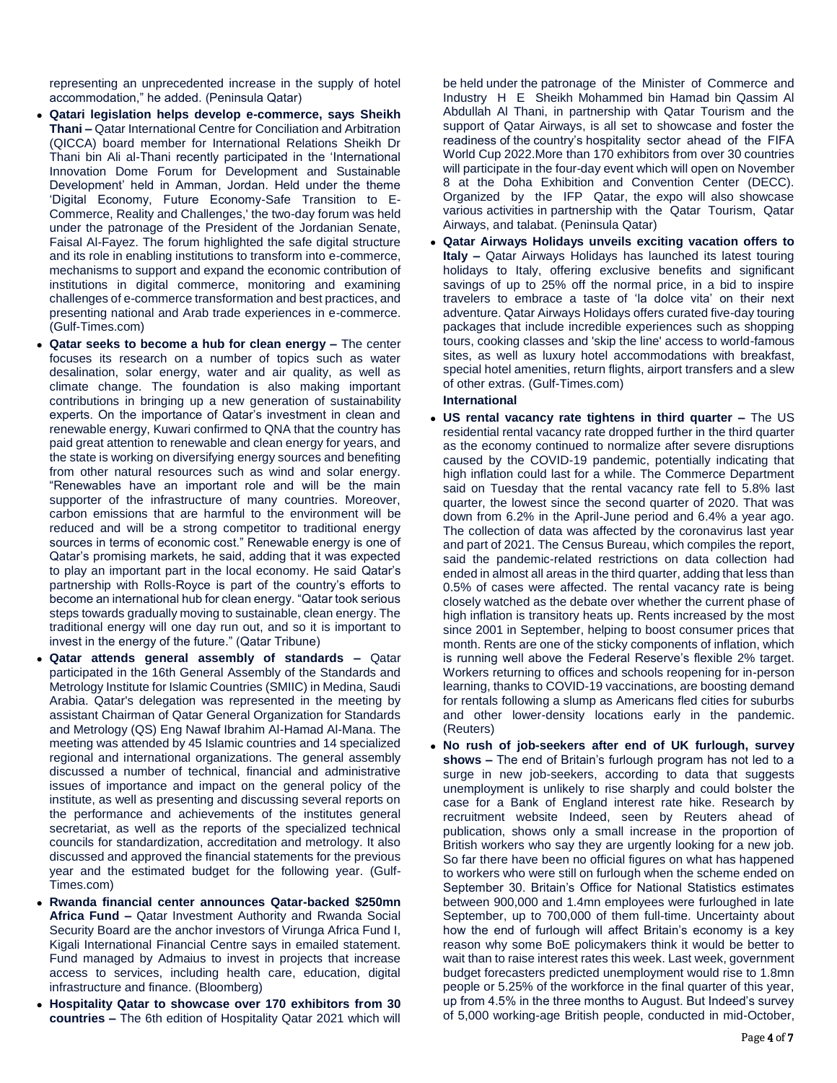representing an unprecedented increase in the supply of hotel accommodation," he added. (Peninsula Qatar)

- **Qatari legislation helps develop e-commerce, says Sheikh Thani –** Qatar International Centre for Conciliation and Arbitration (QICCA) board member for International Relations Sheikh Dr Thani bin Ali al-Thani recently participated in the 'International Innovation Dome Forum for Development and Sustainable Development' held in Amman, Jordan. Held under the theme 'Digital Economy, Future Economy-Safe Transition to E-Commerce, Reality and Challenges,' the two-day forum was held under the patronage of the President of the Jordanian Senate, Faisal Al-Fayez. The forum highlighted the safe digital structure and its role in enabling institutions to transform into e-commerce, mechanisms to support and expand the economic contribution of institutions in digital commerce, monitoring and examining challenges of e-commerce transformation and best practices, and presenting national and Arab trade experiences in e-commerce. (Gulf-Times.com)
- **Qatar seeks to become a hub for clean energy –** The center focuses its research on a number of topics such as water desalination, solar energy, water and air quality, as well as climate change. The foundation is also making important contributions in bringing up a new generation of sustainability experts. On the importance of Qatar's investment in clean and renewable energy, Kuwari confirmed to QNA that the country has paid great attention to renewable and clean energy for years, and the state is working on diversifying energy sources and benefiting from other natural resources such as wind and solar energy. "Renewables have an important role and will be the main supporter of the infrastructure of many countries. Moreover, carbon emissions that are harmful to the environment will be reduced and will be a strong competitor to traditional energy sources in terms of economic cost." Renewable energy is one of Qatar's promising markets, he said, adding that it was expected to play an important part in the local economy. He said Qatar's partnership with Rolls-Royce is part of the country's efforts to become an international hub for clean energy. "Qatar took serious steps towards gradually moving to sustainable, clean energy. The traditional energy will one day run out, and so it is important to invest in the energy of the future." (Qatar Tribune)
- **Qatar attends general assembly of standards –** Qatar participated in the 16th General Assembly of the Standards and Metrology Institute for Islamic Countries (SMIIC) in Medina, Saudi Arabia. Qatar's delegation was represented in the meeting by assistant Chairman of Qatar General Organization for Standards and Metrology (QS) Eng Nawaf Ibrahim Al-Hamad Al-Mana. The meeting was attended by 45 Islamic countries and 14 specialized regional and international organizations. The general assembly discussed a number of technical, financial and administrative issues of importance and impact on the general policy of the institute, as well as presenting and discussing several reports on the performance and achievements of the institutes general secretariat, as well as the reports of the specialized technical councils for standardization, accreditation and metrology. It also discussed and approved the financial statements for the previous year and the estimated budget for the following year. (Gulf-Times.com)
- **Rwanda financial center announces Qatar-backed \$250mn Africa Fund –** Qatar Investment Authority and Rwanda Social Security Board are the anchor investors of Virunga Africa Fund I, Kigali International Financial Centre says in emailed statement. Fund managed by Admaius to invest in projects that increase access to services, including health care, education, digital infrastructure and finance. (Bloomberg)
- **Hospitality Qatar to showcase over 170 exhibitors from 30 countries –** The 6th edition of Hospitality Qatar 2021 which will

be held under the patronage of the Minister of Commerce and Industry H E Sheikh Mohammed bin Hamad bin Qassim Al Abdullah Al Thani, in partnership with Qatar Tourism and the support of Qatar Airways, is all set to showcase and foster the readiness of the country's hospitality sector ahead of the FIFA World Cup 2022.More than 170 exhibitors from over 30 countries will participate in the four-day event which will open on November 8 at the Doha Exhibition and Convention Center (DECC). Organized by the IFP Qatar, the expo will also showcase various activities in partnership with the Qatar Tourism, Qatar Airways, and talabat. (Peninsula Qatar)

 **Qatar Airways Holidays unveils exciting vacation offers to Italy –** Qatar Airways Holidays has launched its latest touring holidays to Italy, offering exclusive benefits and significant savings of up to 25% off the normal price, in a bid to inspire travelers to embrace a taste of 'la dolce vita' on their next adventure. Qatar Airways Holidays offers curated five-day touring packages that include incredible experiences such as shopping tours, cooking classes and 'skip the line' access to world-famous sites, as well as luxury hotel accommodations with breakfast, special hotel amenities, return flights, airport transfers and a slew of other extras. (Gulf-Times.com)

# **International**

- **US rental vacancy rate tightens in third quarter –** The US residential rental vacancy rate dropped further in the third quarter as the economy continued to normalize after severe disruptions caused by the COVID-19 pandemic, potentially indicating that high inflation could last for a while. The Commerce Department said on Tuesday that the rental vacancy rate fell to 5.8% last quarter, the lowest since the second quarter of 2020. That was down from 6.2% in the April-June period and 6.4% a year ago. The collection of data was affected by the coronavirus last year and part of 2021. The Census Bureau, which compiles the report, said the pandemic-related restrictions on data collection had ended in almost all areas in the third quarter, adding that less than 0.5% of cases were affected. The rental vacancy rate is being closely watched as the debate over whether the current phase of high inflation is transitory heats up. Rents increased by the most since 2001 in September, helping to boost consumer prices that month. Rents are one of the sticky components of inflation, which is running well above the Federal Reserve's flexible 2% target. Workers returning to offices and schools reopening for in-person learning, thanks to COVID-19 vaccinations, are boosting demand for rentals following a slump as Americans fled cities for suburbs and other lower-density locations early in the pandemic. (Reuters)
- **No rush of job-seekers after end of UK furlough, survey shows –** The end of Britain's furlough program has not led to a surge in new job-seekers, according to data that suggests unemployment is unlikely to rise sharply and could bolster the case for a Bank of England interest rate hike. Research by recruitment website Indeed, seen by Reuters ahead of publication, shows only a small increase in the proportion of British workers who say they are urgently looking for a new job. So far there have been no official figures on what has happened to workers who were still on furlough when the scheme ended on September 30. Britain's Office for National Statistics estimates between 900,000 and 1.4mn employees were furloughed in late September, up to 700,000 of them full-time. Uncertainty about how the end of furlough will affect Britain's economy is a key reason why some BoE policymakers think it would be better to wait than to raise interest rates this week. Last week, government budget forecasters predicted unemployment would rise to 1.8mn people or 5.25% of the workforce in the final quarter of this year, up from 4.5% in the three months to August. But Indeed's survey of 5,000 working-age British people, conducted in mid-October,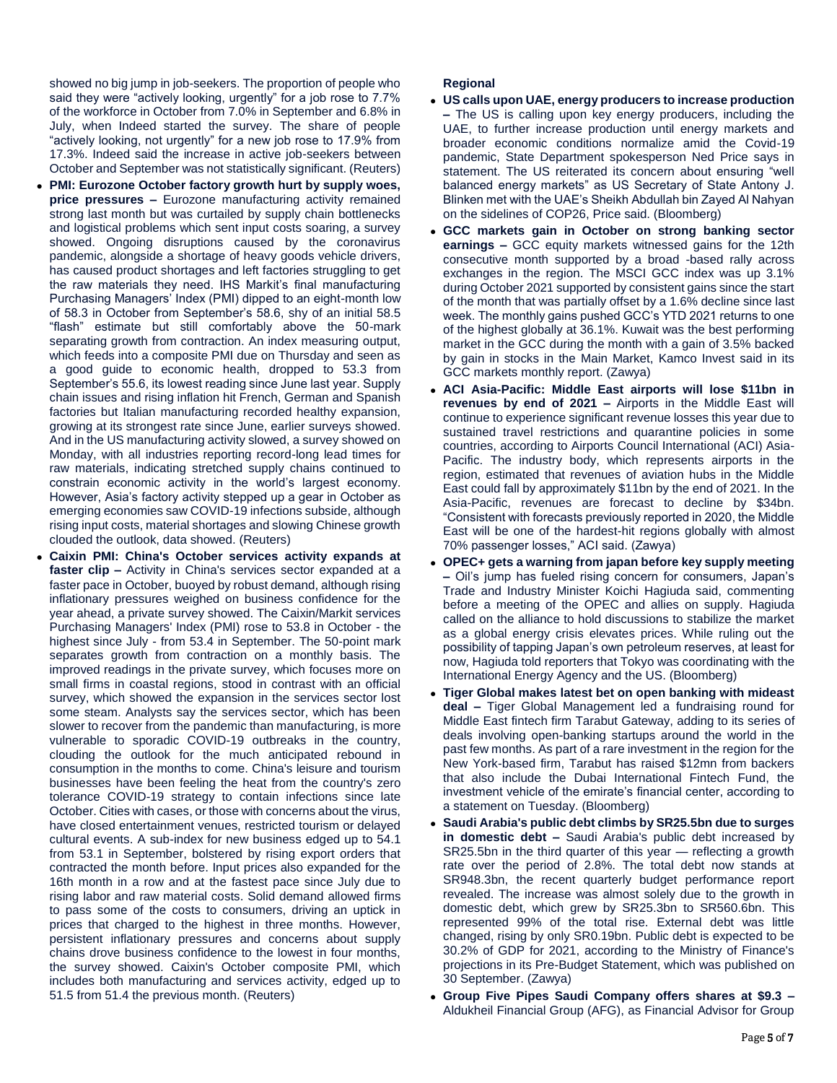showed no big jump in job-seekers. The proportion of people who said they were "actively looking, urgently" for a job rose to 7.7% of the workforce in October from 7.0% in September and 6.8% in July, when Indeed started the survey. The share of people "actively looking, not urgently" for a new job rose to 17.9% from 17.3%. Indeed said the increase in active job-seekers between October and September was not statistically significant. (Reuters)

- **PMI: Eurozone October factory growth hurt by supply woes, price pressures –** Eurozone manufacturing activity remained strong last month but was curtailed by supply chain bottlenecks and logistical problems which sent input costs soaring, a survey showed. Ongoing disruptions caused by the coronavirus pandemic, alongside a shortage of heavy goods vehicle drivers, has caused product shortages and left factories struggling to get the raw materials they need. IHS Markit's final manufacturing Purchasing Managers' Index (PMI) dipped to an eight-month low of 58.3 in October from September's 58.6, shy of an initial 58.5 "flash" estimate but still comfortably above the 50-mark separating growth from contraction. An index measuring output, which feeds into a composite PMI due on Thursday and seen as a good guide to economic health, dropped to 53.3 from September's 55.6, its lowest reading since June last year. Supply chain issues and rising inflation hit French, German and Spanish factories but Italian manufacturing recorded healthy expansion, growing at its strongest rate since June, earlier surveys showed. And in the US manufacturing activity slowed, a survey showed on Monday, with all industries reporting record-long lead times for raw materials, indicating stretched supply chains continued to constrain economic activity in the world's largest economy. However, Asia's factory activity stepped up a gear in October as emerging economies saw COVID-19 infections subside, although rising input costs, material shortages and slowing Chinese growth clouded the outlook, data showed. (Reuters)
- **Caixin PMI: China's October services activity expands at faster clip –** Activity in China's services sector expanded at a faster pace in October, buoyed by robust demand, although rising inflationary pressures weighed on business confidence for the year ahead, a private survey showed. The Caixin/Markit services Purchasing Managers' Index (PMI) rose to 53.8 in October - the highest since July - from 53.4 in September. The 50-point mark separates growth from contraction on a monthly basis. The improved readings in the private survey, which focuses more on small firms in coastal regions, stood in contrast with an official survey, which showed the expansion in the services sector lost some steam. Analysts say the services sector, which has been slower to recover from the pandemic than manufacturing, is more vulnerable to sporadic COVID-19 outbreaks in the country, clouding the outlook for the much anticipated rebound in consumption in the months to come. China's leisure and tourism businesses have been feeling the heat from the country's zero tolerance COVID-19 strategy to contain infections since late October. Cities with cases, or those with concerns about the virus, have closed entertainment venues, restricted tourism or delayed cultural events. A sub-index for new business edged up to 54.1 from 53.1 in September, bolstered by rising export orders that contracted the month before. Input prices also expanded for the 16th month in a row and at the fastest pace since July due to rising labor and raw material costs. Solid demand allowed firms to pass some of the costs to consumers, driving an uptick in prices that charged to the highest in three months. However, persistent inflationary pressures and concerns about supply chains drove business confidence to the lowest in four months, the survey showed. Caixin's October composite PMI, which includes both manufacturing and services activity, edged up to 51.5 from 51.4 the previous month. (Reuters)

# **Regional**

- **US calls upon UAE, energy producers to increase production –** The US is calling upon key energy producers, including the UAE, to further increase production until energy markets and broader economic conditions normalize amid the Covid-19 pandemic, State Department spokesperson Ned Price says in statement. The US reiterated its concern about ensuring "well balanced energy markets" as US Secretary of State Antony J. Blinken met with the UAE's Sheikh Abdullah bin Zayed Al Nahyan on the sidelines of COP26, Price said. (Bloomberg)
- **GCC markets gain in October on strong banking sector earnings –** GCC equity markets witnessed gains for the 12th consecutive month supported by a broad -based rally across exchanges in the region. The MSCI GCC index was up 3.1% during October 2021 supported by consistent gains since the start of the month that was partially offset by a 1.6% decline since last week. The monthly gains pushed GCC's YTD 2021 returns to one of the highest globally at 36.1%. Kuwait was the best performing market in the GCC during the month with a gain of 3.5% backed by gain in stocks in the Main Market, Kamco Invest said in its GCC markets monthly report. (Zawya)
- **ACI Asia-Pacific: Middle East airports will lose \$11bn in revenues by end of 2021 –** Airports in the Middle East will continue to experience significant revenue losses this year due to sustained travel restrictions and quarantine policies in some countries, according to Airports Council International (ACI) Asia-Pacific. The industry body, which represents airports in the region, estimated that revenues of aviation hubs in the Middle East could fall by approximately \$11bn by the end of 2021. In the Asia-Pacific, revenues are forecast to decline by \$34bn. "Consistent with forecasts previously reported in 2020, the Middle East will be one of the hardest-hit regions globally with almost 70% passenger losses," ACI said. (Zawya)
- **OPEC+ gets a warning from japan before key supply meeting –** Oil's jump has fueled rising concern for consumers, Japan's Trade and Industry Minister Koichi Hagiuda said, commenting before a meeting of the OPEC and allies on supply. Hagiuda called on the alliance to hold discussions to stabilize the market as a global energy crisis elevates prices. While ruling out the possibility of tapping Japan's own petroleum reserves, at least for now, Hagiuda told reporters that Tokyo was coordinating with the International Energy Agency and the US. (Bloomberg)
- **Tiger Global makes latest bet on open banking with mideast deal –** Tiger Global Management led a fundraising round for Middle East fintech firm Tarabut Gateway, adding to its series of deals involving open-banking startups around the world in the past few months. As part of a rare investment in the region for the New York-based firm, Tarabut has raised \$12mn from backers that also include the Dubai International Fintech Fund, the investment vehicle of the emirate's financial center, according to a statement on Tuesday. (Bloomberg)
- **Saudi Arabia's public debt climbs by SR25.5bn due to surges in domestic debt –** Saudi Arabia's public debt increased by SR25.5bn in the third quarter of this year — reflecting a growth rate over the period of 2.8%. The total debt now stands at SR948.3bn, the recent quarterly budget performance report revealed. The increase was almost solely due to the growth in domestic debt, which grew by SR25.3bn to SR560.6bn. This represented 99% of the total rise. External debt was little changed, rising by only SR0.19bn. Public debt is expected to be 30.2% of GDP for 2021, according to the Ministry of Finance's projections in its Pre-Budget Statement, which was published on 30 September. (Zawya)
- **Group Five Pipes Saudi Company offers shares at \$9.3 –** Aldukheil Financial Group (AFG), as Financial Advisor for Group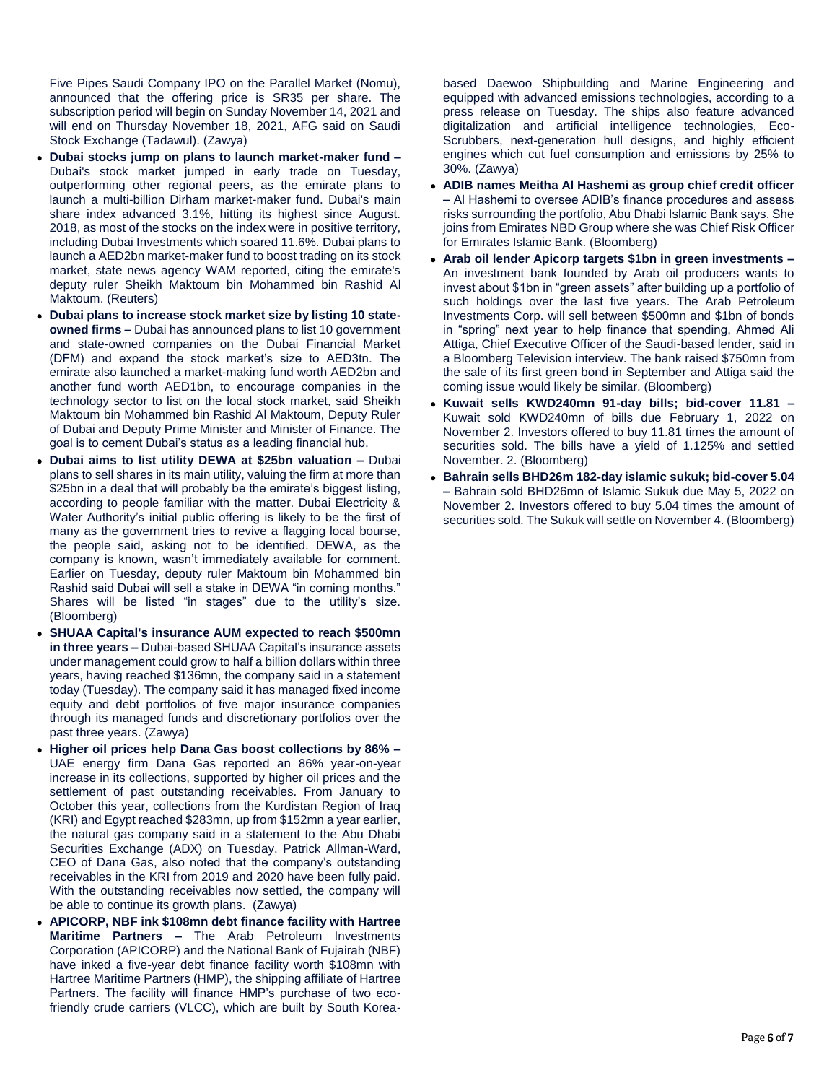Five Pipes Saudi Company IPO on the Parallel Market (Nomu), announced that the offering price is SR35 per share. The subscription period will begin on Sunday November 14, 2021 and will end on Thursday November 18, 2021, AFG said on Saudi Stock Exchange (Tadawul). (Zawya)

- **Dubai stocks jump on plans to launch market-maker fund –** Dubai's stock market jumped in early trade on Tuesday, outperforming other regional peers, as the emirate plans to launch a multi-billion Dirham market-maker fund. Dubai's main share index advanced 3.1%, hitting its highest since August. 2018, as most of the stocks on the index were in positive territory, including Dubai Investments which soared 11.6%. Dubai plans to launch a AED2bn market-maker fund to boost trading on its stock market, state news agency WAM reported, citing the emirate's deputy ruler Sheikh Maktoum bin Mohammed bin Rashid Al Maktoum. (Reuters)
- **Dubai plans to increase stock market size by listing 10 stateowned firms –** Dubai has announced plans to list 10 government and state-owned companies on the Dubai Financial Market (DFM) and expand the stock market's size to AED3tn. The emirate also launched a market-making fund worth AED2bn and another fund worth AED1bn, to encourage companies in the technology sector to list on the local stock market, said Sheikh Maktoum bin Mohammed bin Rashid Al Maktoum, Deputy Ruler of Dubai and Deputy Prime Minister and Minister of Finance. The goal is to cement Dubai's status as a leading financial hub.
- **Dubai aims to list utility DEWA at \$25bn valuation –** Dubai plans to sell shares in its main utility, valuing the firm at more than \$25bn in a deal that will probably be the emirate's biggest listing, according to people familiar with the matter. Dubai Electricity & Water Authority's initial public offering is likely to be the first of many as the government tries to revive a flagging local bourse, the people said, asking not to be identified. DEWA, as the company is known, wasn't immediately available for comment. Earlier on Tuesday, deputy ruler Maktoum bin Mohammed bin Rashid said Dubai will sell a stake in DEWA "in coming months." Shares will be listed "in stages" due to the utility's size. (Bloomberg)
- **SHUAA Capital's insurance AUM expected to reach \$500mn in three years –** Dubai-based SHUAA Capital's insurance assets under management could grow to half a billion dollars within three years, having reached \$136mn, the company said in a statement today (Tuesday). The company said it has managed fixed income equity and debt portfolios of five major insurance companies through its managed funds and discretionary portfolios over the past three years. (Zawya)
- **Higher oil prices help Dana Gas boost collections by 86% –** UAE energy firm Dana Gas reported an 86% year-on-year increase in its collections, supported by higher oil prices and the settlement of past outstanding receivables. From January to October this year, collections from the Kurdistan Region of Iraq (KRI) and Egypt reached \$283mn, up from \$152mn a year earlier, the natural gas company said in a statement to the Abu Dhabi Securities Exchange (ADX) on Tuesday. Patrick Allman-Ward, CEO of Dana Gas, also noted that the company's outstanding receivables in the KRI from 2019 and 2020 have been fully paid. With the outstanding receivables now settled, the company will be able to continue its growth plans. (Zawya)
- **APICORP, NBF ink \$108mn debt finance facility with Hartree Maritime Partners –** The Arab Petroleum Investments Corporation (APICORP) and the National Bank of Fujairah (NBF) have inked a five-year debt finance facility worth \$108mn with Hartree Maritime Partners (HMP), the shipping affiliate of Hartree Partners. The facility will finance HMP's purchase of two ecofriendly crude carriers (VLCC), which are built by South Korea-

based Daewoo Shipbuilding and Marine Engineering and equipped with advanced emissions technologies, according to a press release on Tuesday. The ships also feature advanced digitalization and artificial intelligence technologies, Eco-Scrubbers, next-generation hull designs, and highly efficient engines which cut fuel consumption and emissions by 25% to 30%. (Zawya)

- **ADIB names Meitha Al Hashemi as group chief credit officer –** Al Hashemi to oversee ADIB's finance procedures and assess risks surrounding the portfolio, Abu Dhabi Islamic Bank says. She joins from Emirates NBD Group where she was Chief Risk Officer for Emirates Islamic Bank. (Bloomberg)
- **Arab oil lender Apicorp targets \$1bn in green investments –** An investment bank founded by Arab oil producers wants to invest about \$1bn in "green assets" after building up a portfolio of such holdings over the last five years. The Arab Petroleum Investments Corp. will sell between \$500mn and \$1bn of bonds in "spring" next year to help finance that spending, Ahmed Ali Attiga, Chief Executive Officer of the Saudi-based lender, said in a Bloomberg Television interview. The bank raised \$750mn from the sale of its first green bond in September and Attiga said the coming issue would likely be similar. (Bloomberg)
- **Kuwait sells KWD240mn 91-day bills; bid-cover 11.81 –** Kuwait sold KWD240mn of bills due February 1, 2022 on November 2. Investors offered to buy 11.81 times the amount of securities sold. The bills have a yield of 1.125% and settled November. 2. (Bloomberg)
- **Bahrain sells BHD26m 182-day islamic sukuk; bid-cover 5.04 –** Bahrain sold BHD26mn of Islamic Sukuk due May 5, 2022 on November 2. Investors offered to buy 5.04 times the amount of securities sold. The Sukuk will settle on November 4. (Bloomberg)